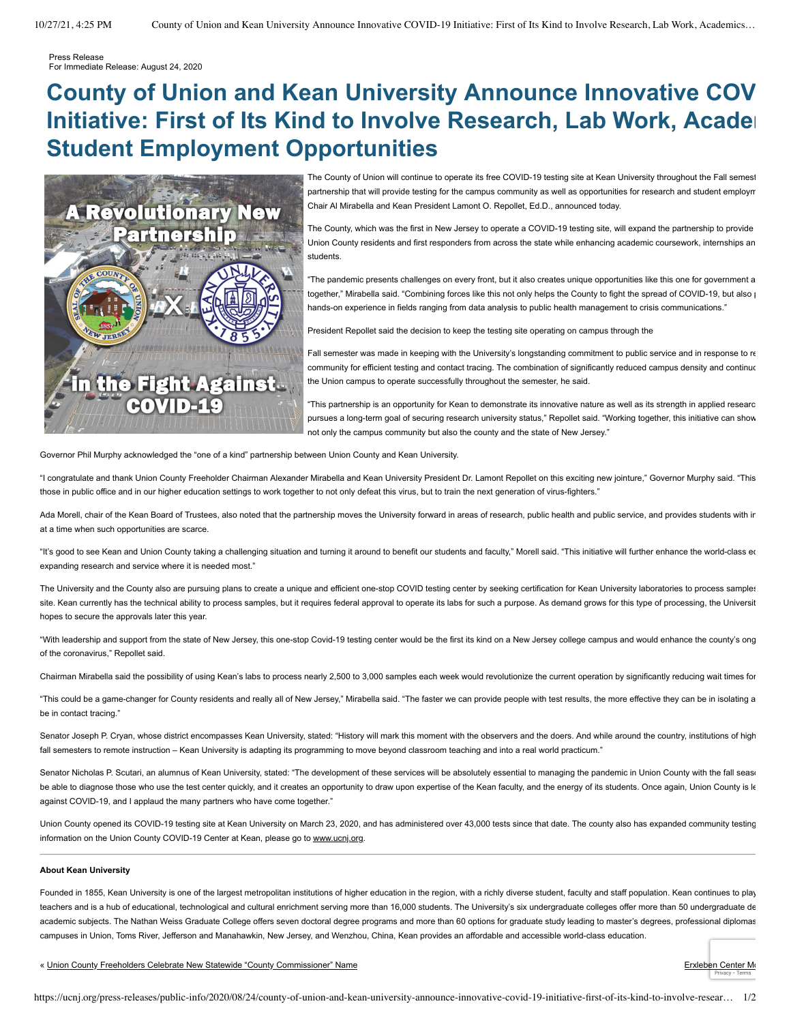Press Release For Immediate Release: August 24, 2020

## **County of Union and Kean University Announce Innovative COV Initiative: First of Its Kind to Involve Research, Lab Work, Acader Student Employment Opportunities**



The County of Union will continue to operate its free COVID-19 testing site at Kean University throughout the Fall semest partnership that will provide testing for the campus community as well as opportunities for research and student employm Chair Al Mirabella and Kean President Lamont O. Repollet, Ed.D., announced today.

The County, which was the first in New Jersey to operate a COVID-19 testing site, will expand the partnership to provide Union County residents and first responders from across the state while enhancing academic coursework, internships an students.

"The pandemic presents challenges on every front, but it also creates unique opportunities like this one for government a together," Mirabella said. "Combining forces like this not only helps the County to fight the spread of COVID-19, but also p hands-on experience in fields ranging from data analysis to public health management to crisis communications."

President Repollet said the decision to keep the testing site operating on campus through the

Fall semester was made in keeping with the University's longstanding commitment to public service and in response to re community for efficient testing and contact tracing. The combination of significantly reduced campus density and continuo the Union campus to operate successfully throughout the semester, he said.

"This partnership is an opportunity for Kean to demonstrate its innovative nature as well as its strength in applied researc pursues a long-term goal of securing research university status," Repollet said. "Working together, this initiative can show not only the campus community but also the county and the state of New Jersey."

Governor Phil Murphy acknowledged the "one of a kind" partnership between Union County and Kean University.

"I congratulate and thank Union County Freeholder Chairman Alexander Mirabella and Kean University President Dr. Lamont Repollet on this exciting new jointure," Governor Murphy said. "This those in public office and in our higher education settings to work together to not only defeat this virus, but to train the next generation of virus-fighters."

Ada Morell, chair of the Kean Board of Trustees, also noted that the partnership moves the University forward in areas of research, public health and public service, and provides students with in at a time when such opportunities are scarce.

"It's good to see Kean and Union County taking a challenging situation and turning it around to benefit our students and faculty," Morell said. "This initiative will further enhance the world-class ed expanding research and service where it is needed most."

The University and the County also are pursuing plans to create a unique and efficient one-stop COVID testing center by seeking certification for Kean University laboratories to process samples site. Kean currently has the technical ability to process samples, but it requires federal approval to operate its labs for such a purpose. As demand grows for this type of processing, the Universit hopes to secure the approvals later this year.

"With leadership and support from the state of New Jersey, this one-stop Covid-19 testing center would be the first its kind on a New Jersey college campus and would enhance the county's ong of the coronavirus," Repollet said.

Chairman Mirabella said the possibility of using Kean's labs to process nearly 2,500 to 3,000 samples each week would revolutionize the current operation by significantly reducing wait times for

"This could be a game-changer for County residents and really all of New Jersey," Mirabella said. "The faster we can provide people with test results, the more effective they can be in isolating a be in contact tracing."

Senator Joseph P. Cryan, whose district encompasses Kean University, stated: "History will mark this moment with the observers and the doers. And while around the country, institutions of high fall semesters to remote instruction - Kean University is adapting its programming to move beyond classroom teaching and into a real world practicum."

Senator Nicholas P. Scutari, an alumnus of Kean University, stated: "The development of these services will be absolutely essential to managing the pandemic in Union County with the fall seaso be able to diagnose those who use the test center quickly, and it creates an opportunity to draw upon expertise of the Kean faculty, and the energy of its students. Once again, Union County is le against COVID-19, and I applaud the many partners who have come together."

Union County opened its COVID-19 testing site at Kean University on March 23, 2020, and has administered over 43,000 tests since that date. The county also has expanded community testing information on the Union County COVID-19 Center at Kean, please go to [www.ucnj.org](http://www.ucnj.org/).

## **About Kean University**

Founded in 1855, Kean University is one of the largest metropolitan institutions of higher education in the region, with a richly diverse student, faculty and staff population. Kean continues to play teachers and is a hub of educational, technological and cultural enrichment serving more than 16,000 students. The University's six undergraduate colleges offer more than 50 undergraduate de academic subjects. The Nathan Weiss Graduate College offers seven doctoral degree programs and more than 60 options for graduate study leading to master's degrees, professional diplomas campuses in Union, Toms River, Jefferson and Manahawkin, New Jersey, and Wenzhou, China, Kean provides an affordable and accessible world-class education.

« [Union County Freeholders Celebrate New Statewide "County Commissioner" Name](https://ucnj.org/press-releases/public-info/2020/08/21/union-county-freeholders-celebrate-new-statewide-county-commissioner-name/) **[Erxleben Center Mo](https://ucnj.org/press-releases/public-info/2020/08/25/erxleben-center-mobile-covid-19-test-cancelled/)ntants Center Montants** Erxleben Center Montants Celebrate New Statewide "County Commissioner" Name

[Privacy](https://www.google.com/intl/en/policies/privacy/) - [Terms](https://www.google.com/intl/en/policies/terms/)

https://ucnj.org/press-releases/public-info/2020/08/24/county-of-union-and-kean-university-announce-innovative-covid-19-initiative-first-of-its-kind-to-involve-resear… 1/2